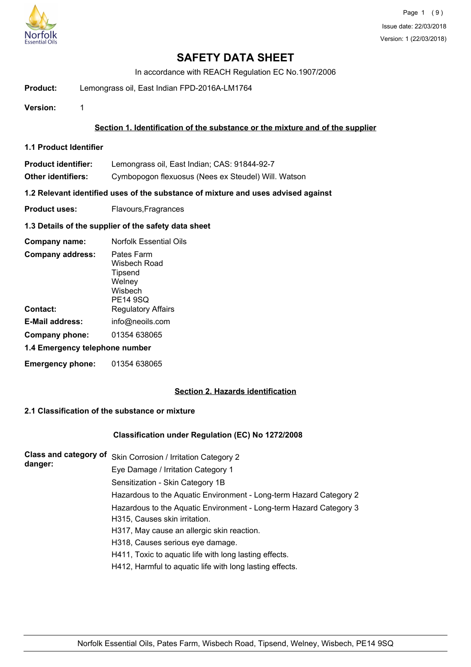

In accordance with REACH Regulation EC No.1907/2006

- **Product:** Lemongrass oil, East Indian FPD-2016A-LM1764
- **Version:** 1

### **Section 1. Identification of the substance or the mixture and of the supplier**

**1.1 Product Identifier**

| Product identifier: | Lemongrass oil, East Indian; CAS: 91844-92-7 |  |
|---------------------|----------------------------------------------|--|
|                     |                                              |  |

**Other identifiers:** Cymbopogon flexuosus (Nees ex Steudel) Will. Watson

**1.2 Relevant identified uses of the substance of mixture and uses advised against**

**Product uses:** Flavours, Fragrances

**1.3 Details of the supplier of the safety data sheet**

| Company name:                  | <b>Norfolk Essential Oils</b>                                          |
|--------------------------------|------------------------------------------------------------------------|
| <b>Company address:</b>        | Pates Farm<br>Wisbech Road<br>Tipsend<br>Welney<br>Wishech<br>PE14 9SQ |
| Contact:                       | <b>Regulatory Affairs</b>                                              |
| E-Mail address:                | info@neoils.com                                                        |
| Company phone:                 | 01354 638065                                                           |
| 1.4 Emergency telephone number |                                                                        |
| <b>Emergency phone:</b>        | 01354 638065                                                           |

#### **Section 2. Hazards identification**

### **2.1 Classification of the substance or mixture**

#### **Classification under Regulation (EC) No 1272/2008**

| <b>Class and category of</b><br>danger: | Skin Corrosion / Irritation Category 2                             |
|-----------------------------------------|--------------------------------------------------------------------|
|                                         | Eye Damage / Irritation Category 1                                 |
|                                         | Sensitization - Skin Category 1B                                   |
|                                         | Hazardous to the Aquatic Environment - Long-term Hazard Category 2 |
|                                         | Hazardous to the Aquatic Environment - Long-term Hazard Category 3 |
|                                         | H315, Causes skin irritation.                                      |
|                                         | H317, May cause an allergic skin reaction.                         |
|                                         | H318, Causes serious eye damage.                                   |
|                                         | H411, Toxic to aquatic life with long lasting effects.             |
|                                         | H412, Harmful to aquatic life with long lasting effects.           |
|                                         |                                                                    |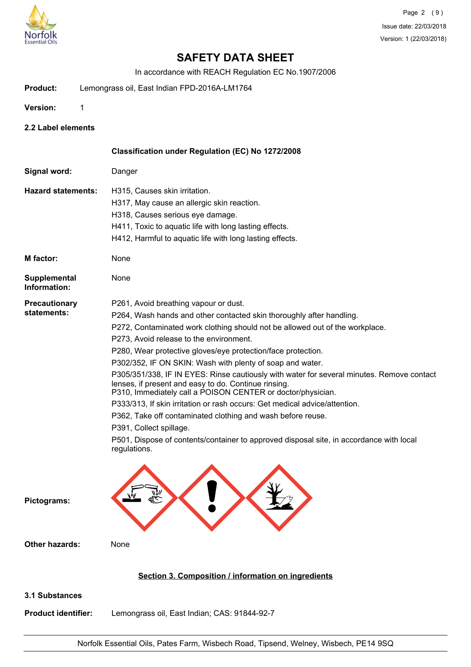

In accordance with REACH Regulation EC No.1907/2006

- **Product:** Lemongrass oil, East Indian FPD-2016A-LM1764
- **Version:** 1

**2.2 Label elements**

|                                     | Classification under Regulation (EC) No 1272/2008                                                                                                                                                                                                                                                                                                                                                                                                                                                                                                                                                                                                                                                                                                                                                                                                                            |
|-------------------------------------|------------------------------------------------------------------------------------------------------------------------------------------------------------------------------------------------------------------------------------------------------------------------------------------------------------------------------------------------------------------------------------------------------------------------------------------------------------------------------------------------------------------------------------------------------------------------------------------------------------------------------------------------------------------------------------------------------------------------------------------------------------------------------------------------------------------------------------------------------------------------------|
| Signal word:                        | Danger                                                                                                                                                                                                                                                                                                                                                                                                                                                                                                                                                                                                                                                                                                                                                                                                                                                                       |
| <b>Hazard statements:</b>           | H315, Causes skin irritation.<br>H317, May cause an allergic skin reaction.<br>H318, Causes serious eye damage.<br>H411, Toxic to aquatic life with long lasting effects.<br>H412, Harmful to aquatic life with long lasting effects.                                                                                                                                                                                                                                                                                                                                                                                                                                                                                                                                                                                                                                        |
| M factor:                           | None                                                                                                                                                                                                                                                                                                                                                                                                                                                                                                                                                                                                                                                                                                                                                                                                                                                                         |
| Supplemental<br>Information:        | None                                                                                                                                                                                                                                                                                                                                                                                                                                                                                                                                                                                                                                                                                                                                                                                                                                                                         |
| <b>Precautionary</b><br>statements: | P261, Avoid breathing vapour or dust.<br>P264, Wash hands and other contacted skin thoroughly after handling.<br>P272, Contaminated work clothing should not be allowed out of the workplace.<br>P273, Avoid release to the environment.<br>P280, Wear protective gloves/eye protection/face protection.<br>P302/352, IF ON SKIN: Wash with plenty of soap and water.<br>P305/351/338, IF IN EYES: Rinse cautiously with water for several minutes. Remove contact<br>lenses, if present and easy to do. Continue rinsing.<br>P310, Immediately call a POISON CENTER or doctor/physician.<br>P333/313, If skin irritation or rash occurs: Get medical advice/attention.<br>P362, Take off contaminated clothing and wash before reuse.<br>P391, Collect spillage.<br>P501, Dispose of contents/container to approved disposal site, in accordance with local<br>regulations. |
| Pictograms:                         |                                                                                                                                                                                                                                                                                                                                                                                                                                                                                                                                                                                                                                                                                                                                                                                                                                                                              |
| <b>Other hazards:</b>               | None                                                                                                                                                                                                                                                                                                                                                                                                                                                                                                                                                                                                                                                                                                                                                                                                                                                                         |
|                                     | Section 3. Composition / information on ingredients                                                                                                                                                                                                                                                                                                                                                                                                                                                                                                                                                                                                                                                                                                                                                                                                                          |
| 3.1 Substances                      |                                                                                                                                                                                                                                                                                                                                                                                                                                                                                                                                                                                                                                                                                                                                                                                                                                                                              |

**Product identifier:** Lemongrass oil, East Indian; CAS: 91844-92-7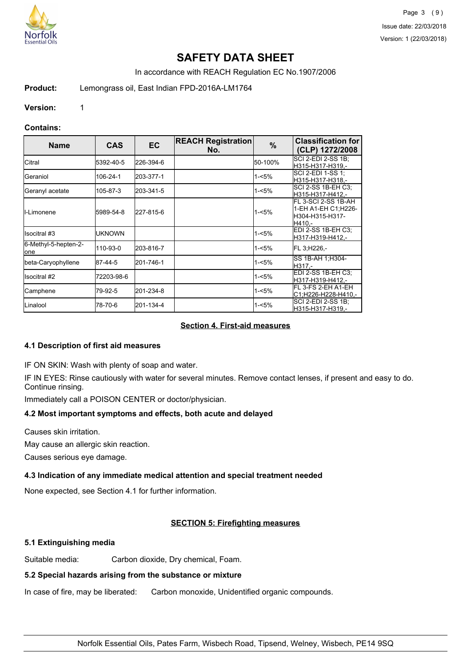

In accordance with REACH Regulation EC No.1907/2006

**Product:** Lemongrass oil, East Indian FPD-2016A-LM1764

**Version:** 1

### **Contains:**

| <b>Name</b>                          | <b>CAS</b> | EC.       | <b>REACH Registration</b><br>No. | %       | <b>Classification for</b><br>(CLP) 1272/2008                             |
|--------------------------------------|------------|-----------|----------------------------------|---------|--------------------------------------------------------------------------|
| <b>Citral</b>                        | 5392-40-5  | 226-394-6 |                                  | 50-100% | SCI 2-EDI 2-SS 1B;<br>H315-H317-H319.-                                   |
| lGeraniol                            | 106-24-1   | 203-377-1 |                                  | 1-<5%   | ISCI 2-EDI 1-SS 1:<br>H315-H317-H318.-                                   |
| Geranyl acetate                      | 105-87-3   | 203-341-5 |                                  | 1-<5%   | ISCI 2-SS 1B-EH C3:<br>H315-H317-H412.-                                  |
| <b>I</b> I-Limonene                  | 5989-54-8  | 227-815-6 |                                  | 1-<5%   | FL 3-SCI 2-SS 1B-AH<br>1-EH A1-EH C1: H226-<br>H304-H315-H317-<br>H410 - |
| Ilsocitral #3                        | UKNOWN     |           |                                  | 1-<5%   | EDI 2-SS 1B-EH C3:<br>H317-H319-H412.-                                   |
| 6-Methyl-5-hepten-2-<br><b>l</b> one | 110-93-0   | 203-816-7 |                                  | 1-<5%   | FL 3.H226.-                                                              |
| beta-Caryophyllene                   | 87-44-5    | 201-746-1 |                                  | 1-<5%   | SS 1B-AH 1;H304-<br>H317.-                                               |
| <b>I</b> lsocitral #2                | 72203-98-6 |           |                                  | 1-<5%   | EDI 2-SS 1B-EH C3:<br>H317-H319-H412,-                                   |
| Camphene                             | 79-92-5    | 201-234-8 |                                  | 1-<5%   | IFL 3-FS 2-EH A1-EH<br>C1,H226-H228-H410,-                               |
| <b>I</b> Linalool                    | 78-70-6    | 201-134-4 |                                  | 1-<5%   | SCI 2-EDI 2-SS 1B;<br>H315-H317-H319.-                                   |

## **Section 4. First-aid measures**

## **4.1 Description of first aid measures**

IF ON SKIN: Wash with plenty of soap and water.

IF IN EYES: Rinse cautiously with water for several minutes. Remove contact lenses, if present and easy to do. Continue rinsing.

Immediately call a POISON CENTER or doctor/physician.

# **4.2 Most important symptoms and effects, both acute and delayed**

Causes skin irritation.

May cause an allergic skin reaction.

Causes serious eye damage.

# **4.3 Indication of any immediate medical attention and special treatment needed**

None expected, see Section 4.1 for further information.

# **SECTION 5: Firefighting measures**

# **5.1 Extinguishing media**

Suitable media: Carbon dioxide, Dry chemical, Foam.

# **5.2 Special hazards arising from the substance or mixture**

In case of fire, may be liberated: Carbon monoxide, Unidentified organic compounds.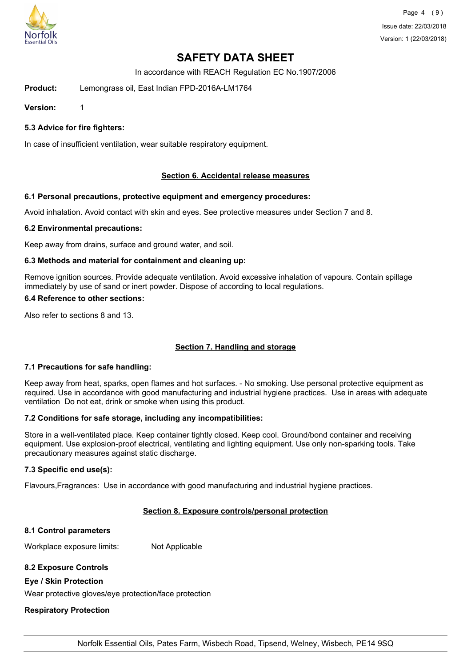

In accordance with REACH Regulation EC No.1907/2006

**Product:** Lemongrass oil, East Indian FPD-2016A-LM1764

**Version:** 1

**5.3 Advice for fire fighters:**

In case of insufficient ventilation, wear suitable respiratory equipment.

#### **Section 6. Accidental release measures**

#### **6.1 Personal precautions, protective equipment and emergency procedures:**

Avoid inhalation. Avoid contact with skin and eyes. See protective measures under Section 7 and 8.

#### **6.2 Environmental precautions:**

Keep away from drains, surface and ground water, and soil.

#### **6.3 Methods and material for containment and cleaning up:**

Remove ignition sources. Provide adequate ventilation. Avoid excessive inhalation of vapours. Contain spillage immediately by use of sand or inert powder. Dispose of according to local regulations.

### **6.4 Reference to other sections:**

Also refer to sections 8 and 13.

## **Section 7. Handling and storage**

#### **7.1 Precautions for safe handling:**

Keep away from heat, sparks, open flames and hot surfaces. - No smoking. Use personal protective equipment as required. Use in accordance with good manufacturing and industrial hygiene practices. Use in areas with adequate ventilation Do not eat, drink or smoke when using this product.

#### **7.2 Conditions for safe storage, including any incompatibilities:**

Store in a well-ventilated place. Keep container tightly closed. Keep cool. Ground/bond container and receiving equipment. Use explosion-proof electrical, ventilating and lighting equipment. Use only non-sparking tools. Take precautionary measures against static discharge.

#### **7.3 Specific end use(s):**

Flavours,Fragrances: Use in accordance with good manufacturing and industrial hygiene practices.

# **Section 8. Exposure controls/personal protection**

# **8.1 Control parameters**

Workplace exposure limits: Not Applicable

# **8.2 Exposure Controls**

## **Eye / Skin Protection**

Wear protective gloves/eye protection/face protection

# **Respiratory Protection**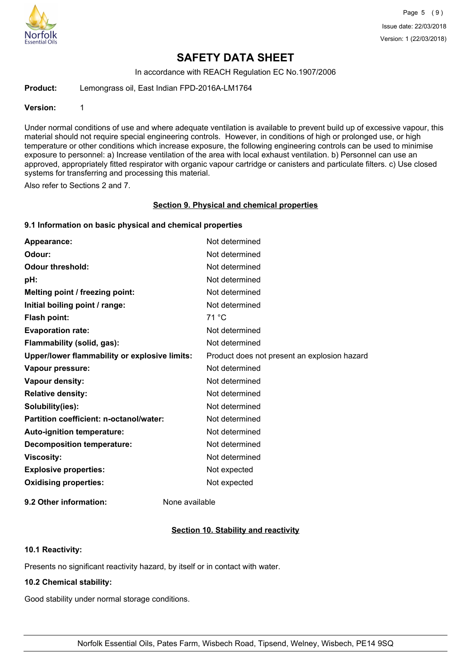

In accordance with REACH Regulation EC No.1907/2006

**Product:** Lemongrass oil, East Indian FPD-2016A-LM1764

#### **Version:** 1

Under normal conditions of use and where adequate ventilation is available to prevent build up of excessive vapour, this material should not require special engineering controls. However, in conditions of high or prolonged use, or high temperature or other conditions which increase exposure, the following engineering controls can be used to minimise exposure to personnel: a) Increase ventilation of the area with local exhaust ventilation. b) Personnel can use an approved, appropriately fitted respirator with organic vapour cartridge or canisters and particulate filters. c) Use closed systems for transferring and processing this material.

Also refer to Sections 2 and 7.

#### **Section 9. Physical and chemical properties**

#### **9.1 Information on basic physical and chemical properties**

| Appearance:                                   | Not determined                               |
|-----------------------------------------------|----------------------------------------------|
| Odour:                                        | Not determined                               |
| <b>Odour threshold:</b>                       | Not determined                               |
| pH:                                           | Not determined                               |
| Melting point / freezing point:               | Not determined                               |
| Initial boiling point / range:                | Not determined                               |
| Flash point:                                  | 71 °C                                        |
| <b>Evaporation rate:</b>                      | Not determined                               |
| Flammability (solid, gas):                    | Not determined                               |
| Upper/lower flammability or explosive limits: | Product does not present an explosion hazard |
| Vapour pressure:                              | Not determined                               |
| <b>Vapour density:</b>                        | Not determined                               |
| <b>Relative density:</b>                      | Not determined                               |
| Solubility(ies):                              | Not determined                               |
| Partition coefficient: n-octanol/water:       | Not determined                               |
| Auto-ignition temperature:                    | Not determined                               |
| <b>Decomposition temperature:</b>             | Not determined                               |
| <b>Viscosity:</b>                             | Not determined                               |
| <b>Explosive properties:</b>                  | Not expected                                 |
| <b>Oxidising properties:</b>                  | Not expected                                 |
|                                               |                                              |

**9.2 Other information:** None available

#### **Section 10. Stability and reactivity**

#### **10.1 Reactivity:**

Presents no significant reactivity hazard, by itself or in contact with water.

## **10.2 Chemical stability:**

Good stability under normal storage conditions.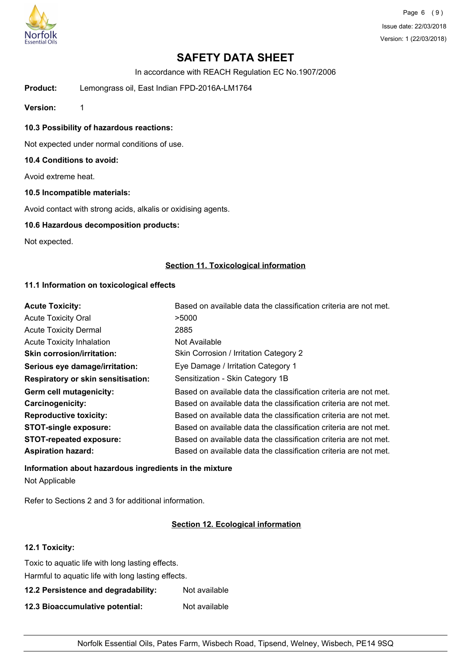

In accordance with REACH Regulation EC No.1907/2006

**Product:** Lemongrass oil, East Indian FPD-2016A-LM1764

**Version:** 1

**10.3 Possibility of hazardous reactions:**

Not expected under normal conditions of use.

#### **10.4 Conditions to avoid:**

Avoid extreme heat.

#### **10.5 Incompatible materials:**

Avoid contact with strong acids, alkalis or oxidising agents.

#### **10.6 Hazardous decomposition products:**

Not expected.

#### **Section 11. Toxicological information**

### **11.1 Information on toxicological effects**

| <b>Acute Toxicity:</b>                    | Based on available data the classification criteria are not met. |
|-------------------------------------------|------------------------------------------------------------------|
| <b>Acute Toxicity Oral</b>                | >5000                                                            |
| <b>Acute Toxicity Dermal</b>              | 2885                                                             |
| <b>Acute Toxicity Inhalation</b>          | Not Available                                                    |
| <b>Skin corrosion/irritation:</b>         | Skin Corrosion / Irritation Category 2                           |
| Serious eye damage/irritation:            | Eye Damage / Irritation Category 1                               |
| <b>Respiratory or skin sensitisation:</b> | Sensitization - Skin Category 1B                                 |
| Germ cell mutagenicity:                   | Based on available data the classification criteria are not met. |
| <b>Carcinogenicity:</b>                   | Based on available data the classification criteria are not met. |
| <b>Reproductive toxicity:</b>             | Based on available data the classification criteria are not met. |
| <b>STOT-single exposure:</b>              | Based on available data the classification criteria are not met. |
| <b>STOT-repeated exposure:</b>            | Based on available data the classification criteria are not met. |
| <b>Aspiration hazard:</b>                 | Based on available data the classification criteria are not met. |

## **Information about hazardous ingredients in the mixture** Not Applicable

Refer to Sections 2 and 3 for additional information.

### **Section 12. Ecological information**

### **12.1 Toxicity:**

| Toxic to aquatic life with long lasting effects.   |               |  |
|----------------------------------------------------|---------------|--|
| Harmful to aquatic life with long lasting effects. |               |  |
| 12.2 Persistence and degradability:                | Not available |  |
| 12.3 Bioaccumulative potential:<br>Not available   |               |  |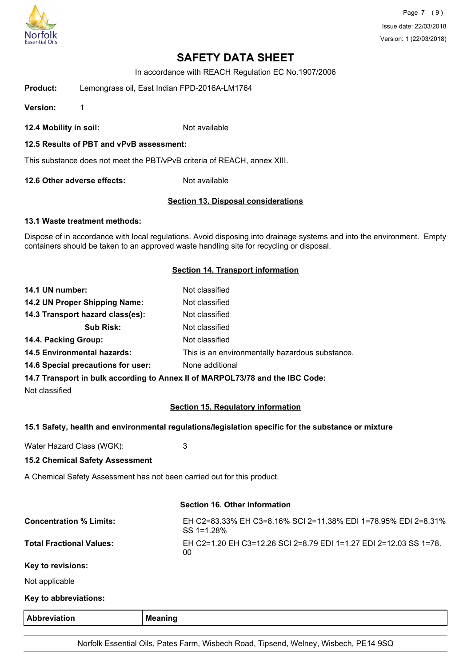

In accordance with REACH Regulation EC No.1907/2006

**Product:** Lemongrass oil, East Indian FPD-2016A-LM1764

**Version:** 1

**12.4 Mobility in soil:** Not available

#### **12.5 Results of PBT and vPvB assessment:**

This substance does not meet the PBT/vPvB criteria of REACH, annex XIII.

**12.6 Other adverse effects:** Not available

#### **Section 13. Disposal considerations**

#### **13.1 Waste treatment methods:**

Dispose of in accordance with local regulations. Avoid disposing into drainage systems and into the environment. Empty containers should be taken to an approved waste handling site for recycling or disposal.

#### **Section 14. Transport information**

| 14.1 UN number:                    | Not classified                                                                 |
|------------------------------------|--------------------------------------------------------------------------------|
| 14.2 UN Proper Shipping Name:      | Not classified                                                                 |
| 14.3 Transport hazard class(es):   | Not classified                                                                 |
| <b>Sub Risk:</b>                   | Not classified                                                                 |
| 14.4. Packing Group:               | Not classified                                                                 |
| <b>14.5 Environmental hazards:</b> | This is an environmentally hazardous substance.                                |
| 14.6 Special precautions for user: | None additional                                                                |
|                                    | 14.7 Transport in bulk seconding to Anney II of MADDOI 72/70 and the IDC Code: |

**14.7 Transport in bulk according to Annex II of MARPOL73/78 and the IBC Code:**

Not classified

## **Section 15. Regulatory information**

#### **15.1 Safety, health and environmental regulations/legislation specific for the substance or mixture**

Water Hazard Class (WGK): 3

#### **15.2 Chemical Safety Assessment**

A Chemical Safety Assessment has not been carried out for this product.

#### **Section 16. Other information**

| <b>Abbreviation</b>             | <b>Meaning</b>                                                               |
|---------------------------------|------------------------------------------------------------------------------|
| Key to abbreviations:           |                                                                              |
| Not applicable                  |                                                                              |
| Key to revisions:               |                                                                              |
| <b>Total Fractional Values:</b> | EH C2=1.20 EH C3=12.26 SCI 2=8.79 EDI 1=1.27 EDI 2=12.03 SS 1=78.<br>00      |
| <b>Concentration % Limits:</b>  | EH C2=83.33% EH C3=8.16% SCI 2=11.38% EDI 1=78.95% EDI 2=8.31%<br>SS 1=1.28% |
|                                 |                                                                              |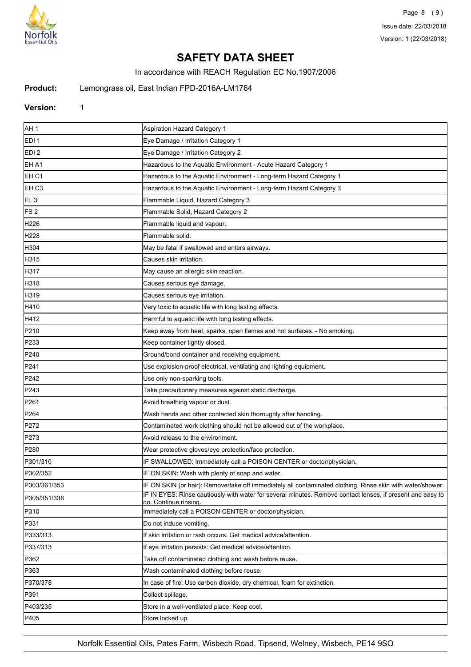

In accordance with REACH Regulation EC No.1907/2006

**Product:** Lemongrass oil, East Indian FPD-2016A-LM1764

### **Version:** 1

| AH <sub>1</sub>  | Aspiration Hazard Category 1                                                                                                              |
|------------------|-------------------------------------------------------------------------------------------------------------------------------------------|
| EDI <sub>1</sub> | Eye Damage / Irritation Category 1                                                                                                        |
| EDI <sub>2</sub> | Eye Damage / Irritation Category 2                                                                                                        |
| EH A1            | Hazardous to the Aquatic Environment - Acute Hazard Category 1                                                                            |
| EH C1            | Hazardous to the Aquatic Environment - Long-term Hazard Category 1                                                                        |
| EH <sub>C3</sub> | Hazardous to the Aquatic Environment - Long-term Hazard Category 3                                                                        |
| FL <sub>3</sub>  | Flammable Liquid, Hazard Category 3                                                                                                       |
| FS <sub>2</sub>  | Flammable Solid, Hazard Category 2                                                                                                        |
| H226             | Flammable liquid and vapour.                                                                                                              |
| H <sub>228</sub> | Flammable solid.                                                                                                                          |
| H304             | May be fatal if swallowed and enters airways.                                                                                             |
| H315             | Causes skin irritation.                                                                                                                   |
| H317             | May cause an allergic skin reaction.                                                                                                      |
| H318             | Causes serious eye damage.                                                                                                                |
| H319             | Causes serious eye irritation.                                                                                                            |
| H410             | Very toxic to aquatic life with long lasting effects.                                                                                     |
| H412             | Harmful to aquatic life with long lasting effects.                                                                                        |
| P210             | Keep away from heat, sparks, open flames and hot surfaces. - No smoking.                                                                  |
| P <sub>233</sub> | Keep container tightly closed.                                                                                                            |
| P <sub>240</sub> | Ground/bond container and receiving equipment.                                                                                            |
| P241             | Use explosion-proof electrical, ventilating and lighting equipment.                                                                       |
| P <sub>242</sub> | Use only non-sparking tools.                                                                                                              |
| P <sub>243</sub> | Take precautionary measures against static discharge.                                                                                     |
| P <sub>261</sub> | Avoid breathing vapour or dust.                                                                                                           |
| P264             | Wash hands and other contacted skin thoroughly after handling.                                                                            |
| P272             | Contaminated work clothing should not be allowed out of the workplace.                                                                    |
| P273             | Avoid release to the environment.                                                                                                         |
| P <sub>280</sub> | Wear protective gloves/eye protection/face protection.                                                                                    |
| P301/310         | IF SWALLOWED: Immediately call a POISON CENTER or doctor/physician.                                                                       |
| P302/352         | IF ON SKIN: Wash with plenty of soap and water.                                                                                           |
| P303/361/353     | IF ON SKIN (or hair): Remove/take off immediately all contaminated clothing. Rinse skin with water/shower.                                |
| P305/351/338     | IF IN EYES: Rinse cautiously with water for several minutes. Remove contact lenses, if present and easy to<br><u>do. Continue rinsing</u> |
| P310             | Immediately call a POISON CENTER or doctor/physician.                                                                                     |
| P331             | Do not induce vomiting.                                                                                                                   |
| P333/313         | If skin irritation or rash occurs: Get medical advice/attention.                                                                          |
| P337/313         | If eye irritation persists: Get medical advice/attention.                                                                                 |
| P362             | Take off contaminated clothing and wash before reuse.                                                                                     |
| P363             | Wash contaminated clothing before reuse.                                                                                                  |
| P370/378         | In case of fire: Use carbon dioxide, dry chemical, foam for extinction.                                                                   |
| P391             | Collect spillage.                                                                                                                         |
| P403/235         | Store in a well-ventilated place. Keep cool.                                                                                              |
| P405             | Store locked up.                                                                                                                          |